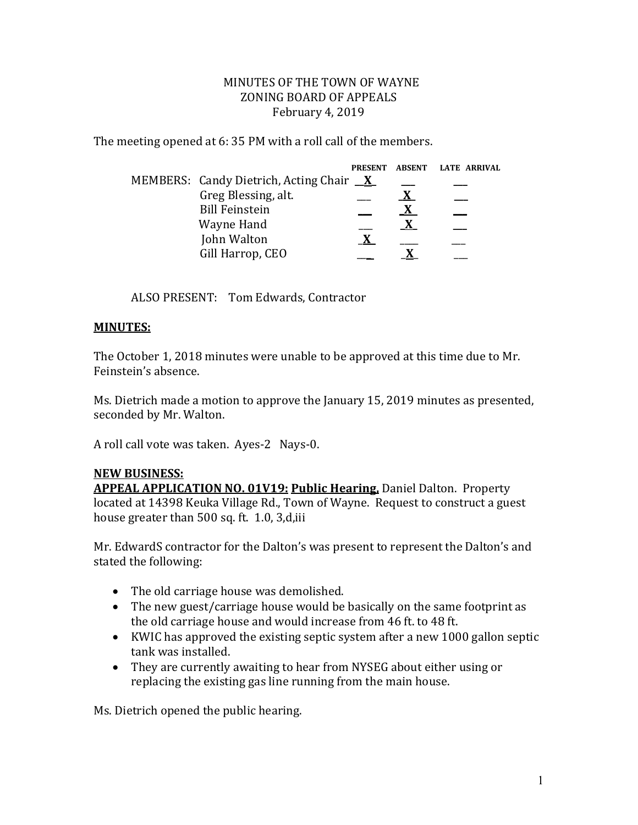## MINUTES OF THE TOWN OF WAYNE ZONING BOARD OF APPEALS February 4, 2019

The meeting opened at 6: 35 PM with a roll call of the members.

|                                                | <b>PRESENT</b> | ABSENT LATE ARRIVAL |
|------------------------------------------------|----------------|---------------------|
| MEMBERS: Candy Dietrich, Acting Chair <u>X</u> |                |                     |
| Greg Blessing, alt.                            |                |                     |
| <b>Bill Feinstein</b>                          |                |                     |
| Wayne Hand                                     |                |                     |
| John Walton                                    |                |                     |
| Gill Harrop, CEO                               |                |                     |

ALSO PRESENT: Tom Edwards, Contractor

## **MINUTES:**

The October 1, 2018 minutes were unable to be approved at this time due to Mr. Feinstein's absence.

Ms. Dietrich made a motion to approve the January 15, 2019 minutes as presented, seconded by Mr. Walton.

A roll call vote was taken. Ayes-2 Nays-0.

## **NEW BUSINESS:**

**APPEAL APPLICATION NO. 01V19: Public Hearing,** Daniel Dalton. Property located at 14398 Keuka Village Rd., Town of Wayne. Request to construct a guest house greater than 500 sq. ft. 1.0, 3,d,iii

Mr. EdwardS contractor for the Dalton's was present to represent the Dalton's and stated the following:

- The old carriage house was demolished.
- The new guest/carriage house would be basically on the same footprint as the old carriage house and would increase from 46 ft. to 48 ft.
- KWIC has approved the existing septic system after a new 1000 gallon septic tank was installed.
- They are currently awaiting to hear from NYSEG about either using or replacing the existing gas line running from the main house.

Ms. Dietrich opened the public hearing.